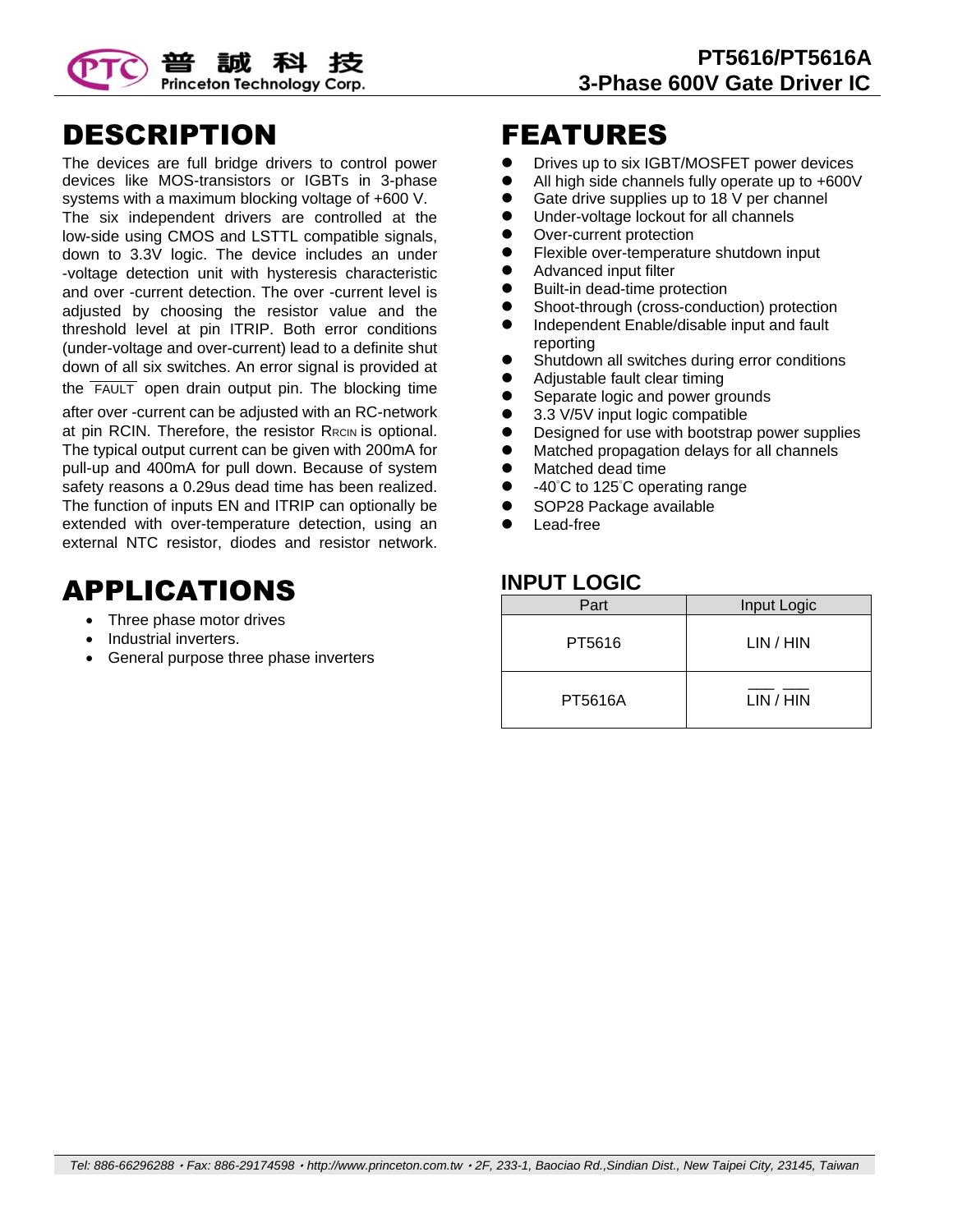

#### DESCRIPTION

The devices are full bridge drivers to control power devices like MOS-transistors or IGBTs in 3-phase systems with a maximum blocking voltage of +600 V. The six independent drivers are controlled at the low-side using CMOS and LSTTL compatible signals, down to 3.3V logic. The device includes an under -voltage detection unit with hysteresis characteristic and over -current detection. The over -current level is adjusted by choosing the resistor value and the threshold level at pin ITRIP. Both error conditions (under-voltage and over-current) lead to a definite shut down of all six switches. An error signal is provided at the FAULT open drain output pin. The blocking time

after over -current can be adjusted with an RC-network at pin RCIN. Therefore, the resistor R<sub>RCIN</sub> is optional. The typical output current can be given with 200mA for pull-up and 400mA for pull down. Because of system safety reasons a 0.29us dead time has been realized. The function of inputs EN and ITRIP can optionally be extended with over-temperature detection, using an external NTC resistor, diodes and resistor network.

### APPLICATIONS

- Three phase motor drives
- Industrial inverters.
- General purpose three phase inverters

#### FEATURES

- **•** Drives up to six IGBT/MOSFET power devices
- All high side channels fully operate up to +600V
- Gate drive supplies up to 18 V per channel
- Under-voltage lockout for all channels
- Over-current protection
- **•** Flexible over-temperature shutdown input
- Advanced input filter
- Built-in dead-time protection
- Shoot-through (cross-conduction) protection
- Independent Enable/disable input and fault reporting
- Shutdown all switches during error conditions
- Adjustable fault clear timing
- Separate logic and power grounds
- 3.3 V/5V input logic compatible
- Designed for use with bootstrap power supplies
- Matched propagation delays for all channels
- $\bullet$  Matched dead time
- -40°C to 125°C operating range
- SOP28 Package available
- Lead-free

#### **INPUT LOGIC**

| Part    | Input Logic |
|---------|-------------|
| PT5616  | LIN / HIN   |
| PT5616A | LIN / HIN   |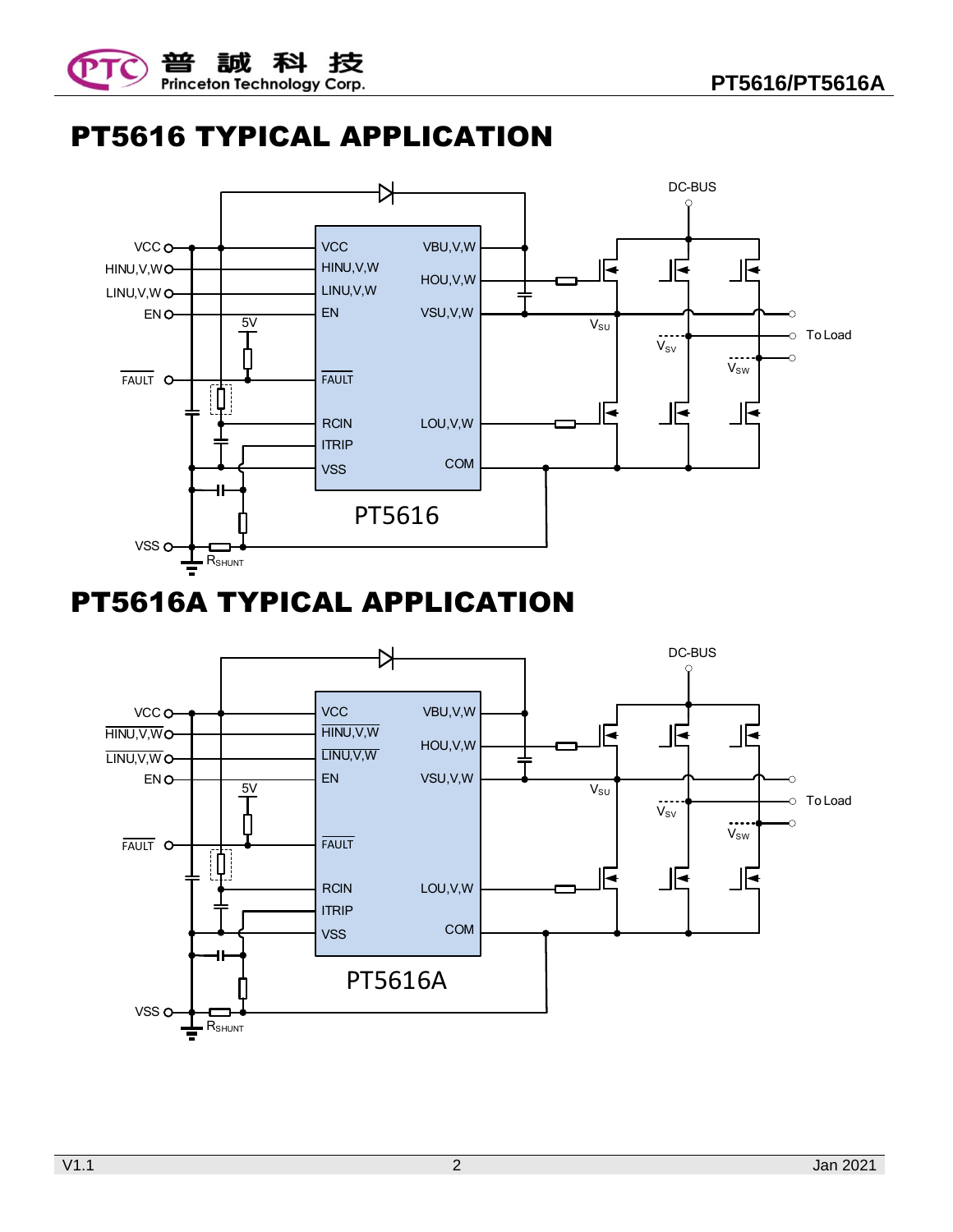



# PT5616 TYPICAL APPLICATION



# PT5616A TYPICAL APPLICATION

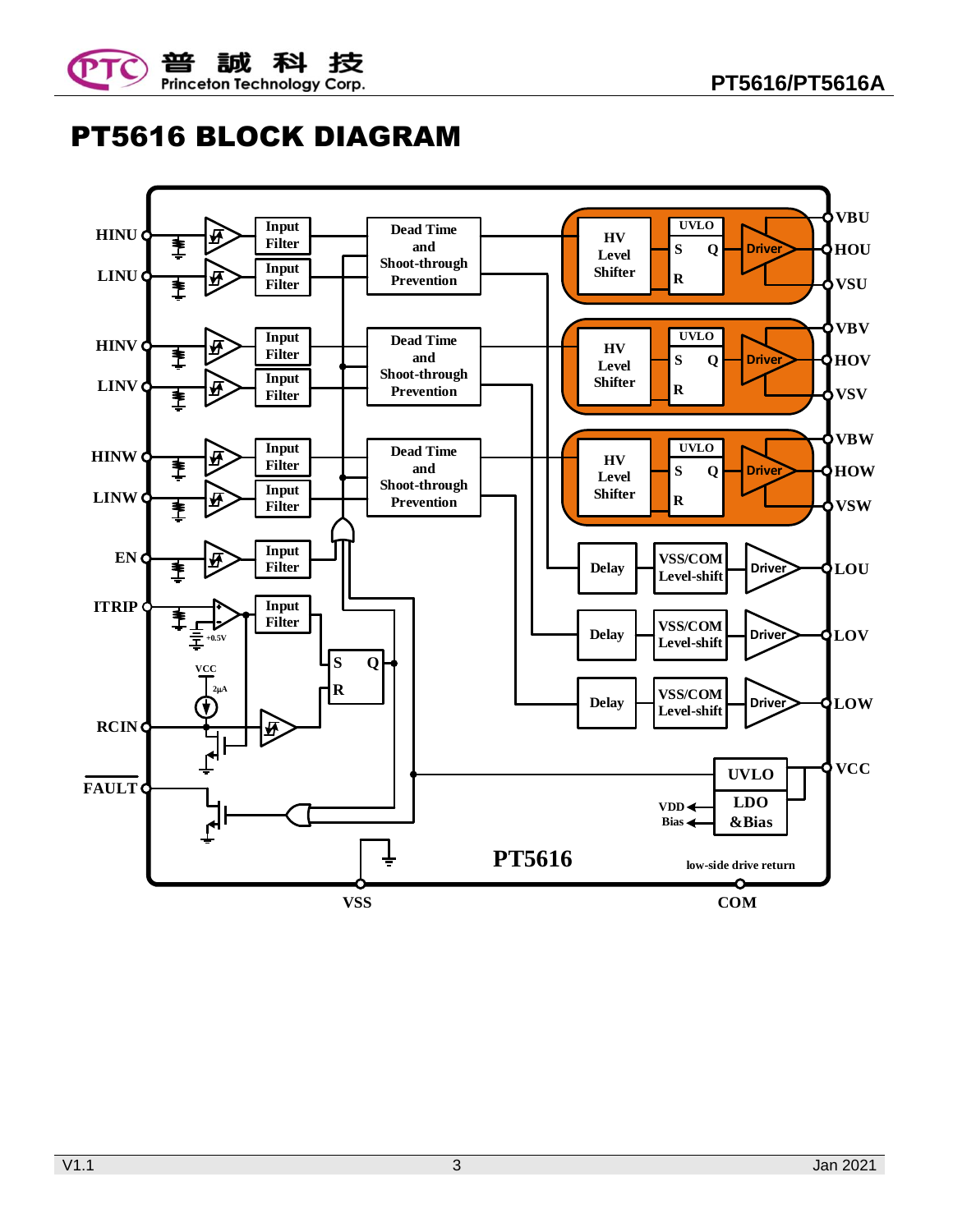



PT5616 BLOCK DIAGRAM

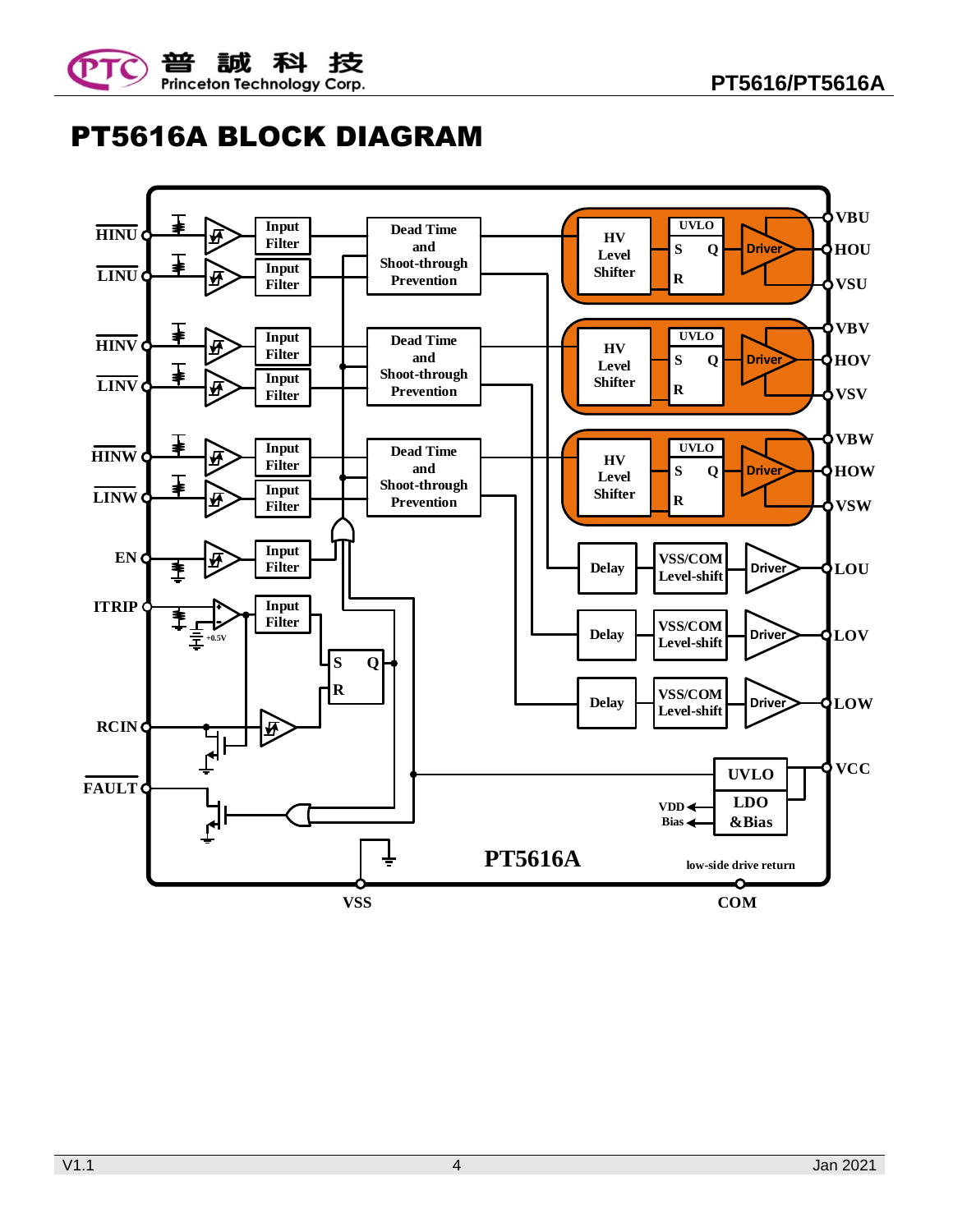



# PT5616A BLOCK DIAGRAM

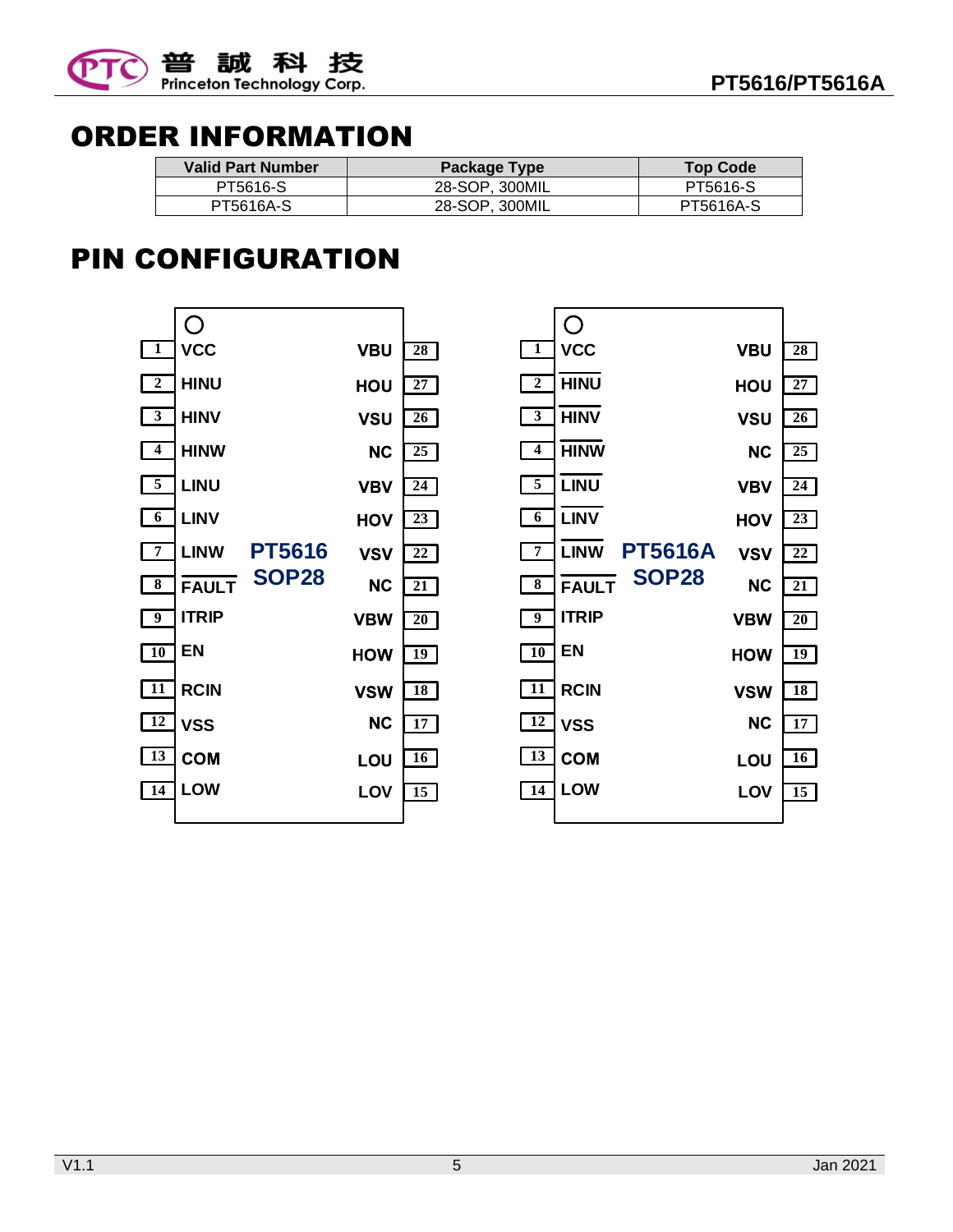

 $\frac{28}{27}$ 

 $\frac{28}{27}$ 

VBU  $\boxed{28}$ 

**HOU** 

**VSU** 

**NC** 

**VBV** 

HOV

**VSV** 

**NC** 

**VBW** 

**HOW** 

**VSW** 

 $NC$ 

LOU

 $\frac{28}{27}$ <br> $\frac{27}{26}$ 

 $\boxed{27}$ 

 $\frac{28}{27}$ <br> $\frac{26}{25}$ 

 $\boxed{26}$ 

 $\frac{27}{26}$ <br> $\frac{25}{24}$ 

 $\boxed{25}$ 

 $\frac{26}{25}$ <br> $\frac{23}{23}$ 

 $\boxed{24}$ 

 $\frac{25}{24}$ <br> $\frac{23}{22}$ <br> $\frac{22}{21}$ 

 $\boxed{23}$ 

 $\frac{24}{23}$ <br> $\frac{22}{21}$ <br> $\frac{21}{20}$ 

 $\boxed{22}$ 

 $\frac{23}{22}$ <br> $\frac{21}{20}$ 

 $\boxed{21}$ 

 $\frac{22}{21}$ <br> $\frac{20}{19}$ 

 $\boxed{20}$ 

 $\frac{21}{20}$ <br> $\frac{19}{18}$ 

 $\boxed{19}$ 

 $\frac{19}{18}$ <br> $\frac{18}{17}$ 

 $18$ 

 $\frac{18}{17}$   $\frac{16}{15}$ 

 $16$ 

 $\overline{15}$ 

 $\frac{19}{18}$ <br> $\frac{17}{15}$ 

 $17$ 



## ORDER INFORMATION

| <b>Valid Part Number</b> | Package Type   | <b>Top Code</b> |
|--------------------------|----------------|-----------------|
| PT5616-S                 | 28-SOP. 300MIL | PT5616-S        |
| PT5616A-S                | 28-SOP. 300MIL | PT5616A-S       |

## PIN CONFIGURATION

**PT5616A LINW**

**VCC**

 $\bigcirc$ 

**HINU**

**HINV**

**HINW**

**LINU**

**LINV**

**FAULT**

**ITRIP**

**EN**

**VSS**

**COM** 

**RCIN**

**SOP28**

**LOW LOV**